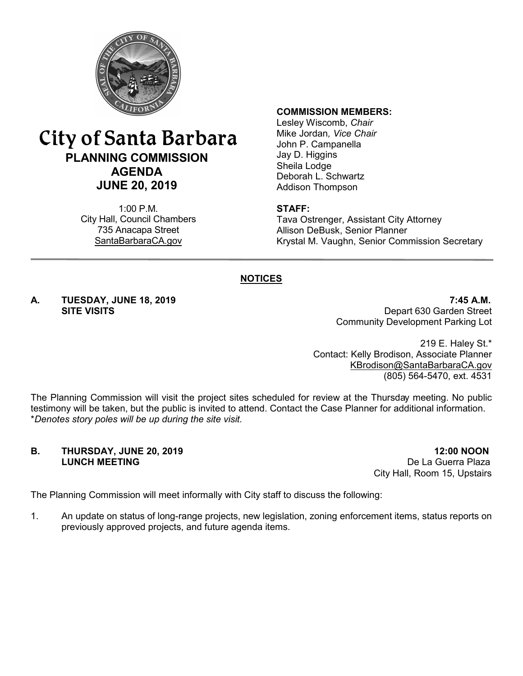

## City of Santa Barbara **PLANNING COMMISSION AGENDA JUNE 20, 2019**

1:00 P.M. City Hall, Council Chambers 735 Anacapa Street SantaBarbaraCA.gov

#### **COMMISSION MEMBERS:**

Lesley Wiscomb, *Chair* Mike Jordan*, Vice Chair* John P. Campanella Jay D. Higgins Sheila Lodge Deborah L. Schwartz Addison Thompson

#### **STAFF:**

Tava Ostrenger, Assistant City Attorney Allison DeBusk, Senior Planner Krystal M. Vaughn, Senior Commission Secretary

#### **NOTICES**

**A. TUESDAY, JUNE 18, 2019 7:45 A.M.** Depart 630 Garden Street Community Development Parking Lot

> 219 E. Haley St.\* Contact: Kelly Brodison, Associate Planner [KBrodison@SantaBarbaraCA.gov](mailto:KBrodison@SantaBarbaraCA.gov) (805) 564-5470, ext. 4531

The Planning Commission will visit the project sites scheduled for review at the Thursday meeting. No public testimony will be taken, but the public is invited to attend. Contact the Case Planner for additional information. \**Denotes story poles will be up during the site visit.*

# **B. THURSDAY, JUNE 20, 2019 12:00 NOON**<br>**LUNCH MEETING 12:00 NOON**

De La Guerra Plaza City Hall, Room 15, Upstairs

The Planning Commission will meet informally with City staff to discuss the following:

1. An update on status of long-range projects, new legislation, zoning enforcement items, status reports on previously approved projects, and future agenda items.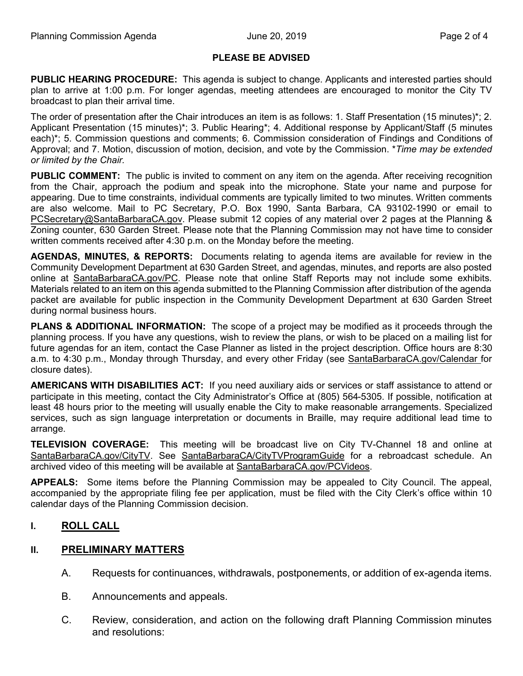#### **PLEASE BE ADVISED**

**PUBLIC HEARING PROCEDURE:** This agenda is subject to change. Applicants and interested parties should plan to arrive at 1:00 p.m. For longer agendas, meeting attendees are encouraged to monitor the City TV broadcast to plan their arrival time.

The order of presentation after the Chair introduces an item is as follows: 1. Staff Presentation (15 minutes)\*; 2. Applicant Presentation (15 minutes)\*; 3. Public Hearing\*; 4. Additional response by Applicant/Staff (5 minutes each)\*; 5. Commission questions and comments; 6. Commission consideration of Findings and Conditions of Approval; and 7. Motion, discussion of motion, decision, and vote by the Commission. \**Time may be extended or limited by the Chair.*

**PUBLIC COMMENT:** The public is invited to comment on any item on the agenda. After receiving recognition from the Chair, approach the podium and speak into the microphone. State your name and purpose for appearing. Due to time constraints, individual comments are typically limited to two minutes. Written comments are also welcome. Mail to PC Secretary, P.O. Box 1990, Santa Barbara, CA 93102-1990 or email to [PCSecretary@SantaBarbaraCA.gov](mailto:PCSecretary@SantaBarbaraCA.gov). Please submit 12 copies of any material over 2 pages at the Planning & Zoning counter, 630 Garden Street. Please note that the Planning Commission may not have time to consider written comments received after 4:30 p.m. on the Monday before the meeting.

**AGENDAS, MINUTES, & REPORTS:** Documents relating to agenda items are available for review in the Community Development Department at 630 Garden Street, and agendas, minutes, and reports are also posted online at [SantaBarbaraCA.gov/PC](http://www.santabarbaraca.gov/PC). Please note that online Staff Reports may not include some exhibits. Materials related to an item on this agenda submitted to the Planning Commission after distribution of the agenda packet are available for public inspection in the Community Development Department at 630 Garden Street during normal business hours.

**PLANS & ADDITIONAL INFORMATION:** The scope of a project may be modified as it proceeds through the planning process. If you have any questions, wish to review the plans, or wish to be placed on a mailing list for future agendas for an item, contact the Case Planner as listed in the project description. Office hours are 8:30 a.m. to 4:30 p.m., Monday through Thursday, and every other Friday (see [SantaBarbaraCA.gov/Calendar](http://www.santabarbaraca.gov/cals/default.asp) for closure dates).

**AMERICANS WITH DISABILITIES ACT:** If you need auxiliary aids or services or staff assistance to attend or participate in this meeting, contact the City Administrator's Office at (805) 564-5305. If possible, notification at least 48 hours prior to the meeting will usually enable the City to make reasonable arrangements. Specialized services, such as sign language interpretation or documents in Braille, may require additional lead time to arrange.

**TELEVISION COVERAGE:** This meeting will be broadcast live on City TV-Channel 18 and online at [SantaBarbaraCA.gov/CityTV](http://www.santabarbaraca.gov/CityTV). See [SantaBarbaraCA/CityTVProgramGuide](http://www.santabarbaraca.gov/gov/depts/cityadmin/programming.asp) for a rebroadcast schedule. An archived video of this meeting will be available at [SantaBarbaraCA.gov/PCVideos.](http://www.santabarbaraca.gov/PCVideos)

**APPEALS:** Some items before the Planning Commission may be appealed to City Council. The appeal, accompanied by the appropriate filing fee per application, must be filed with the City Clerk's office within 10 calendar days of the Planning Commission decision.

#### **I. ROLL CALL**

#### **II. PRELIMINARY MATTERS**

- A. Requests for continuances, withdrawals, postponements, or addition of ex-agenda items.
- B. Announcements and appeals.
- C. Review, consideration, and action on the following draft Planning Commission minutes and resolutions: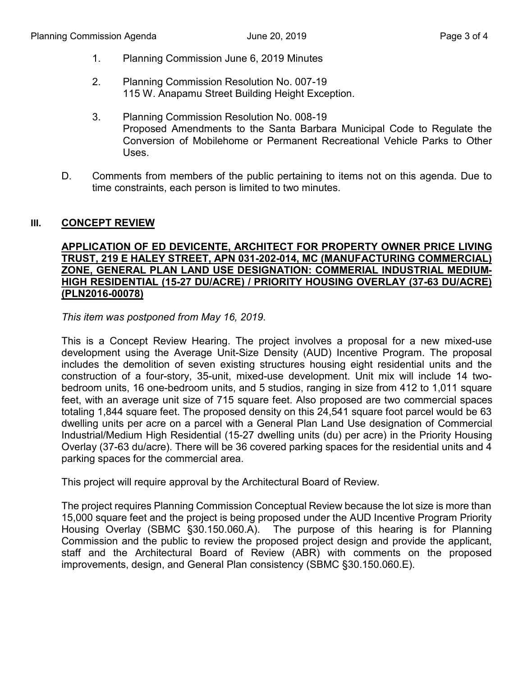- 1. Planning Commission June 6, 2019 Minutes
- 2. Planning Commission Resolution No. 007-19 115 W. Anapamu Street Building Height Exception.
- 3. Planning Commission Resolution No. 008-19 Proposed Amendments to the Santa Barbara Municipal Code to Regulate the Conversion of Mobilehome or Permanent Recreational Vehicle Parks to Other Uses.
- D. Comments from members of the public pertaining to items not on this agenda. Due to time constraints, each person is limited to two minutes.

#### **III. CONCEPT REVIEW**

#### **APPLICATION OF ED DEVICENTE, ARCHITECT FOR PROPERTY OWNER PRICE LIVING TRUST, 219 E HALEY STREET, APN 031-202-014, MC (MANUFACTURING COMMERCIAL) ZONE, GENERAL PLAN LAND USE DESIGNATION: COMMERIAL INDUSTRIAL MEDIUM-HIGH RESIDENTIAL (15-27 DU/ACRE) / PRIORITY HOUSING OVERLAY (37-63 DU/ACRE) (PLN2016-00078)**

*This item was postponed from May 16, 2019.*

This is a Concept Review Hearing. The project involves a proposal for a new mixed-use development using the Average Unit-Size Density (AUD) Incentive Program. The proposal includes the demolition of seven existing structures housing eight residential units and the construction of a four-story, 35-unit, mixed-use development. Unit mix will include 14 twobedroom units, 16 one-bedroom units, and 5 studios, ranging in size from 412 to 1,011 square feet, with an average unit size of 715 square feet. Also proposed are two commercial spaces totaling 1,844 square feet. The proposed density on this 24,541 square foot parcel would be 63 dwelling units per acre on a parcel with a General Plan Land Use designation of Commercial Industrial/Medium High Residential (15-27 dwelling units (du) per acre) in the Priority Housing Overlay (37-63 du/acre). There will be 36 covered parking spaces for the residential units and 4 parking spaces for the commercial area.

This project will require approval by the Architectural Board of Review.

The project requires Planning Commission Conceptual Review because the lot size is more than 15,000 square feet and the project is being proposed under the AUD Incentive Program Priority Housing Overlay (SBMC §30.150.060.A). The purpose of this hearing is for Planning Commission and the public to review the proposed project design and provide the applicant, staff and the Architectural Board of Review (ABR) with comments on the proposed improvements, design, and General Plan consistency (SBMC §30.150.060.E).